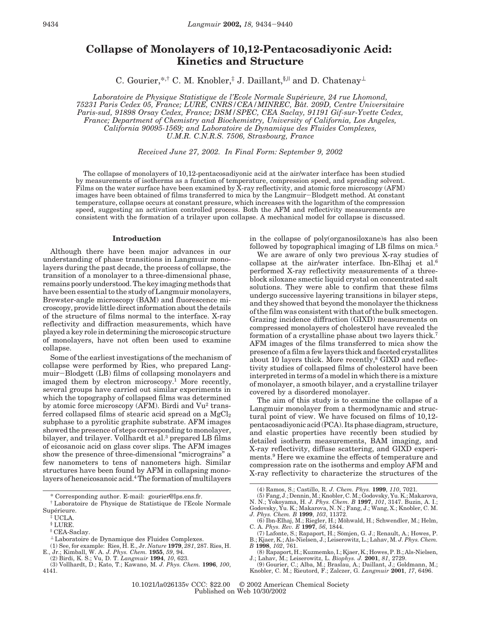# **Collapse of Monolayers of 10,12-Pentacosadiyonic Acid: Kinetics and Structure**

C. Gourier,\*,† C. M. Knobler,‡ J. Daillant,  $\frac{1}{2}$ , and D. Chatenay<sup>⊥</sup>

*Laboratoire de Physique Statistique de l'Ecole Normale Supe*´*rieure, 24 rue Lhomond, 75231 Paris Cedex 05, France; LURE, CNRS/CEA/MINREC, Ba*ˆ*t. 209D, Centre Universitaire Paris-sud, 91898 Orsay Cedex, France; DSM/SPEC, CEA Saclay, 91191 Gif-sur-Yvette Cedex, France; Department of Chemistry and Biochemistry, University of California, Los Angeles, California 90095-1569; and Laboratoire de Dynamique des Fluides Complexes, U.M.R. C.N.R.S. 7506, Strasbourg, France*

*Received June 27, 2002. In Final Form: September 9, 2002*

The collapse of monolayers of 10,12-pentacosadiyonic acid at the air/water interface has been studied by measurements of isotherms as a function of temperature, compression speed, and spreading solvent. Films on the water surface have been examined by X-ray reflectivity, and atomic force microscopy (AFM) images have been obtained of films transferred to mica by the Langmuir-Blodgett method. At constant temperature, collapse occurs at constant pressure, which increases with the logarithm of the compression speed, suggesting an activation controlled process. Both the AFM and reflectivity measurements are consistent with the formation of a trilayer upon collapse. A mechanical model for collapse is discussed.

## **Introduction**

Although there have been major advances in our understanding of phase transitions in Langmuir monolayers during the past decade, the process of collapse, the transition of a monolayer to a three-dimensional phase, remains poorly understood. The key imaging methods that have been essential to the study of Langmuir monolayers, Brewster-angle microscopy (BAM) and fluorescence microscopy, provide little direct information about the details of the structure of films normal to the interface. X-ray reflectivity and diffraction measurements, which have played a key role in determining the microscopic structure of monolayers, have not often been used to examine collapse.

Some of the earliest investigations of the mechanism of collapse were performed by Ries, who prepared Langmuir-Blodgett (LB) films of collapsing monolayers and imaged them by electron microscopy.<sup>1</sup> More recently, several groups have carried out similar experiments in which the topography of collapsed films was determined by atomic force microscopy (AFM). Birdi and Vu<sup>2</sup> transferred collapsed films of stearic acid spread on a  $MgCl<sub>2</sub>$ subphase to a pyrolitic graphite substrate. AFM images showed the presence of steps corresponding to monolayer, bilayer, and trilayer. Vollhardt et al.3 prepared LB films of eicosanoic acid on glass cover slips. The AFM images show the presence of three-dimensional "micrograins" a few nanometers to tens of nanometers high. Similar structures have been found by AFM in collapsing monolayers of heneicosanoic acid.4The formation of multilayers

in the collapse of poly(organosiloxane)s has also been followed by topographical imaging of LB films on mica.<sup>5</sup>

We are aware of only two previous X-ray studies of collapse at the air/water interface. Ibn-Elhaj et al.6 performed X-ray reflectivity measurements of a threeblock siloxane smectic liquid crystal on concentrated salt solutions. They were able to confirm that these films undergo successive layering transitions in bilayer steps, and they showed that beyond the monolayer the thickness of the film was consistent with that of the bulk smectogen. Grazing incidence diffraction (GIXD) measurements on compressed monolayers of cholesterol have revealed the formation of a crystalline phase about two layers thick.7 AFM images of the films transferred to mica show the presence of a film a few layers thick and faceted crystallites about 10 layers thick. More recently,<sup>8</sup> GIXD and reflectivity studies of collapsed films of cholesterol have been interpreted in terms of a model in which there is a mixture of monolayer, a smooth bilayer, and a crystalline trilayer covered by a disordered monolayer.

The aim of this study is to examine the collapse of a Langmuir monolayer from a thermodynamic and structural point of view. We have focused on films of 10,12 pentacosadiyonic acid (PCA). Its phase diagram, structure, and elastic properties have recently been studied by detailed isotherm measurements, BAM imaging, and X-ray reflectivity, diffuse scattering, and GIXD experiments.9 Here we examine the effects of temperature and compression rate on the isotherms and employ AFM and X-ray reflectivity to characterize the structures of the

<sup>\*</sup> Corresponding author. E-mail: gourier@lps.ens.fr.

<sup>†</sup> Laboratoire de Physique de Statistique de l'Ecole Normale Supérieure.

<sup>‡</sup> UCLA.

<sup>§</sup> LURE.

<sup>|</sup> CEA-Saclay.

<sup>⊥</sup> Laboratoire de Dynamique des Fluides Complexes.

<sup>(1)</sup> See, for example: Ries, H. E., Jr. *Nature* **1979**, *281*, 287. Ries, H.

E., Jr.; Kimball, W. A. *J. Phys. Chem.* **1955**, *59*, 94. (2) Birdi, K. S.; Vu, D. T. *Langmuir* **1994**, *10*, 623.

<sup>(3)</sup> Vollhardt, D.; Kato, T.; Kawano, M. *J. Phys. Chem.* **1996**, *100*, 4141.

<sup>(4)</sup> Ramos, S.; Castillo, R. *J. Chem. Phys.* **1999**, *110*, 7021.

<sup>(5)</sup> Fang, J.; Dennin, M.; Knobler, C. M.; Godovsky, Yu. K.; Makarova, N. N.; Yokoyama, H. *J. Phys. Chem. B* **1997**, *101*, 3147. Buzin, A. I.; Godovsky, Yu. K.; Makarova, N. N.; Fang, J.; Wang, X.; Knobler, C. M.

*J. Phys. Chem. B* **1999**, *103*, 11372.

<sup>(6)</sup> Ibn-Elhaj, M.; Riegler, H.; Möhwald, H.; Schwendler, M.; Helm, C. A. *Phys. Rev. E* **1997**, *56*, 1844.

<sup>(7)</sup> Lafonte, S.; Rapaport, H.; Sömjen, G. J.; Renault, A.; Howes, P. B.; Kjaer, K.; Als-Nielsen, J.; Leiserowitz, L.; Lahav, M. *J. Phys. Chem. B* **1998**, *102*, 761.

<sup>(8)</sup> Rapaport, H.; Kuzmemko, I.; Kjaer, K.; Howes, P. B.; Als-Nielsen, J.; Lahav, M.; Leiserowitz, L. *Biophys. J.* **2001**, *81*, 2729.

<sup>(9)</sup> Gourier, C.; Alba, M.; Braslau, A.; Daillant, J.; Goldmann, M.; Knobler, C. M.; Rieutord, F.; Zalczer, G. *Langmuir* **2001**, *17*, 6496.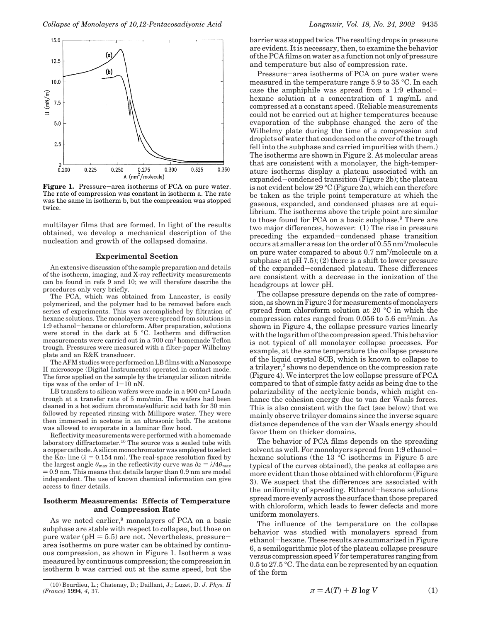

**Figure 1.** Pressure-area isotherms of PCA on pure water. The rate of compression was constant in isotherm a. The rate was the same in isotherm b, but the compression was stopped twice.

multilayer films that are formed. In light of the results obtained, we develop a mechanical description of the nucleation and growth of the collapsed domains.

## **Experimental Section**

An extensive discussion of the sample preparation and details of the isotherm, imaging, and X-ray reflectivity measurements can be found in refs 9 and 10; we will therefore describe the procedures only very briefly.

The PCA, which was obtained from Lancaster, is easily polymerized, and the polymer had to be removed before each series of experiments. This was accomplished by filtration of hexane solutions. The monolayers were spread from solutions in 1:9 ethanol-hexane or chloroform. After preparation, solutions were stored in the dark at 5 °C. Isotherm and diffraction measurements were carried out in a 700 cm2 homemade Teflon trough. Pressures were measured with a filter-paper Wilhelmy plate and an R&K transducer.

The AFM studies were performed on LB films with a Nanoscope II microscope (Digital Instruments) operated in contact mode. The force applied on the sample by the triangular silicon nitride tips was of the order of 1-10 nN.

LB transfers to silicon wafers were made in a 900 cm2 Lauda trough at a transfer rate of 5 mm/min. The wafers had been cleaned in a hot sodium chromate/sulfuric acid bath for 30 min followed by repeated rinsing with Millipore water. They were then immersed in acetone in an ultrasonic bath. The acetone was allowed to evaporate in a laminar flow hood.

Reflectivity measurements were performed with a homemade laboratory diffractometer.<sup>10</sup> The source was a sealed tube with a copper cathode. A silicon monochromator was employed to select the K $\alpha_1$  line ( $\lambda = 0.154$  nm). The real-space resolution fixed by the largest angle  $\theta_{\text{max}}$  in the reflectivity curve was  $\delta z = \lambda/4\theta_{\text{max}}$ ) 0.9 nm. This means that details larger than 0.9 nm are model independent. The use of known chemical information can give access to finer details.

# **Isotherm Measurements: Effects of Temperature and Compression Rate**

As we noted earlier,<sup>9</sup> monolayers of PCA on a basic subphase are stable with respect to collapse, but those on pure water ( $pH = 5.5$ ) are not. Nevertheless, pressurearea isotherms on pure water can be obtained by continuous compression, as shown in Figure 1. Isotherm a was measured by continuous compression; the compression in isotherm b was carried out at the same speed, but the

(10) Bourdieu, L.; Chatenay, D.; Daillant, J.; Luzet, D. *J. Phys. II (France)* **1994**, *4*, 37.

barrier was stopped twice. The resulting drops in pressure are evident. It is necessary, then, to examine the behavior of the PCA films on water as a function not only of pressure and temperature but also of compression rate.

Pressure-area isotherms of PCA on pure water were measured in the temperature range 5.9 to 35 °C. In each case the amphiphile was spread from a 1:9 ethanolhexane solution at a concentration of 1 mg/mL and compressed at a constant speed. (Reliable measurements could not be carried out at higher temperatures because evaporation of the subphase changed the zero of the Wilhelmy plate during the time of a compression and droplets of water that condensed on the cover of the trough fell into the subphase and carried impurities with them.) The isotherms are shown in Figure 2. At molecular areas that are consistent with a monolayer, the high-temperature isotherms display a plateau associated with an expanded-condensed transition (Figure 2b); the plateau is not evident below 29 °C (Figure 2a), which can therefore be taken as the triple point temperature at which the gaseous, expanded, and condensed phases are at equilibrium. The isotherms above the triple point are similar to those found for PCA on a basic subphase.<sup>9</sup> There are two major differences, however: (1) The rise in pressure preceding the expanded-condensed phase transition occurs at smaller areas (on the order of 0.55 nm2/molecule on pure water compared to about 0.7 nm2/molecule on a subphase at  $pH 7.5$ ; (2) there is a shift to lower pressure of the expanded-condensed plateau. These differences are consistent with a decrease in the ionization of the headgroups at lower pH.

The collapse pressure depends on the rate of compression, as shown in Figure 3 for measurements of monolayers spread from chloroform solution at 20 °C in which the compression rates ranged from 0.056 to 5.6 cm2/min. As shown in Figure 4, the collapse pressure varies linearly with the logarithm of the compression speed. This behavior is not typical of all monolayer collapse processes. For example, at the same temperature the collapse pressure of the liquid crystal 8CB, which is known to collapse to a trilayer,<sup>2</sup> shows no dependence on the compression rate (Figure 4). We interpret the low collapse pressure of PCA compared to that of simple fatty acids as being due to the polarizability of the acetylenic bonds, which might enhance the cohesion energy due to van der Waals forces. This is also consistent with the fact (see below) that we mainly observe trilayer domains since the inverse square distance dependence of the van der Waals energy should favor them on thicker domains.

The behavior of PCA films depends on the spreading solvent as well. For monolayers spread from 1:9 ethanolhexane solutions (the 13 °C isotherms in Figure 5 are typical of the curves obtained), the peaks at collapse are more evident than those obtained with chloroform (Figure 3). We suspect that the differences are associated with the uniformity of spreading. Ethanol-hexane solutions spread more evenly across the surface than those prepared with chloroform, which leads to fewer defects and more uniform monolayers.

The influence of the temperature on the collapse behavior was studied with monolayers spread from ethanol-hexane. These results are summarized in Figure 6, a semilogarithmic plot of the plateau collapse pressure versus compression speed *V* for temperatures ranging from 0.5 to 27.5 °C. The data can be represented by an equation of the form

$$
\pi = A(T) + B \log V \tag{1}
$$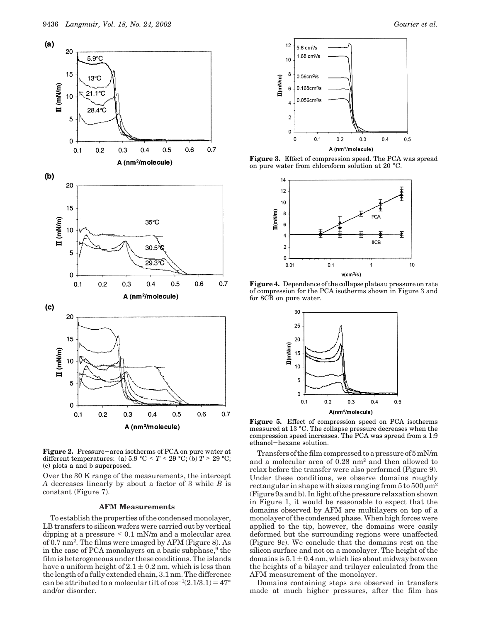

**Figure 2.** Pressure-area isotherms of PCA on pure water at different temperatures: (a)  $5.9 \text{ °C} < T < 29 \text{ °C}$ ; (b)  $T > 29 \text{ °C}$ ; (c) plots a and b superposed.

Over the 30 K range of the measurements, the intercept *A* decreases linearly by about a factor of 3 while *B* is constant (Figure 7).

#### **AFM Measurements**

To establish the properties of the condensed monolayer, LB transfers to silicon wafers were carried out by vertical dipping at a pressure  $\leq 0.1$  mN/m and a molecular area of 0.7 nm2. The films were imaged by AFM (Figure 8). As in the case of PCA monolayers on a basic subphase,<sup>9</sup> the film is heterogeneous under these conditions. The islands have a uniform height of  $2.1 \pm 0.2$  nm, which is less than the length of a fully extended chain, 3.1 nm. The difference can be attributed to a molecular tilt of  $\cos^{-1}(2.1/3.1) = 47^{\circ}$ and/or disorder.



**Figure 3.** Effect of compression speed. The PCA was spread on pure water from chloroform solution at 20 °C.



**Figure 4.** Dependence of the collapse plateau pressure on rate of compression for the PCA isotherms shown in Figure 3 and for 8CB on pure water.



**Figure 5.** Effect of compression speed on PCA isotherms measured at 13 °C. The collapse pressure decreases when the compression speed increases. The PCA was spread from a 1:9 ethanol-hexane solution.

Transfers of the film compressed to a pressure of 5 mN/m and a molecular area of 0.28 nm2 and then allowed to relax before the transfer were also performed (Figure 9). Under these conditions, we observe domains roughly rectangular in shape with sizes ranging from  $5 \text{ to } 500 \ \mu \text{m}^2$ (Figure 9a and b). In light of the pressure relaxation shown in Figure 1, it would be reasonable to expect that the domains observed by AFM are multilayers on top of a monolayer of the condensed phase. When high forces were applied to the tip, however, the domains were easily deformed but the surrounding regions were unaffected (Figure 9c). We conclude that the domains rest on the silicon surface and not on a monolayer. The height of the domains is  $5.1 \pm 0.4$  nm, which lies about midway between the heights of a bilayer and trilayer calculated from the AFM measurement of the monolayer.

Domains containing steps are observed in transfers made at much higher pressures, after the film has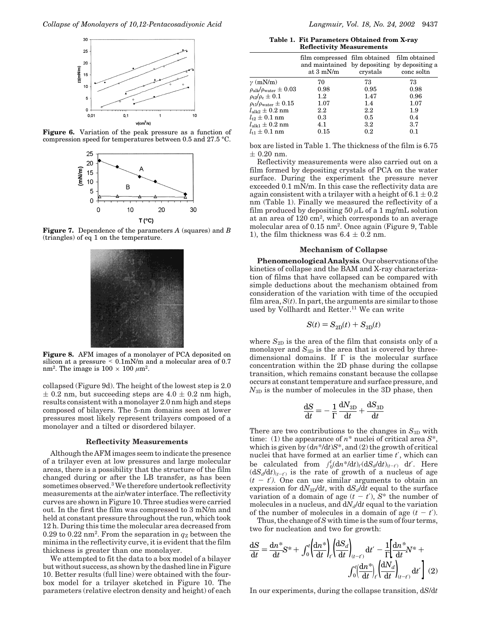





**Figure 7.** Dependence of the parameters *A* (squares) and *B* (triangles) of eq 1 on the temperature.



**Figure 8.** AFM images of a monolayer of PCA deposited on silicon at a pressure < 0.1mN/m and a molecular area of 0.7 nm<sup>2</sup>. The image is  $100 \times 100 \ \mu \text{m}^2$ .

collapsed (Figure 9d). The height of the lowest step is 2.0  $\pm$  0.2 nm, but succeeding steps are 4.0  $\pm$  0.2 nm high, results consistent with a monolayer 2.0 nm high and steps composed of bilayers. The 5-nm domains seen at lower pressures most likely represent trilayers composed of a monolayer and a tilted or disordered bilayer.

# **Reflectivity Measurements**

Although the AFM images seem to indicate the presence of a trilayer even at low pressures and large molecular areas, there is a possibility that the structure of the film changed during or after the LB transfer, as has been sometimes observed.<sup>3</sup> We therefore undertook reflectivity measurements at the air/water interface. The reflectivity curves are shown in Figure 10. Three studies were carried out. In the first the film was compressed to 3 mN/m and held at constant pressure throughout the run, which took 12 h. During this time the molecular area decreased from 0.29 to 0.22 nm<sup>2</sup>. From the separation in  $q_Z$  between the minima in the reflectivity curve, it is evident that the film thickness is greater than one monolayer.

We attempted to fit the data to a box model of a bilayer but without success, as shown by the dashed line in Figure 10. Better results (full line) were obtained with the fourbox model for a trilayer sketched in Figure 10. The parameters (relative electron density and height) of each

**Table 1. Fit Parameters Obtained from X-ray Reflectivity Measurements**

|                                                | film compressed film obtained film obtained<br>and maintained by depositing by depositing a<br>at $3 \text{ mN/m}$ | crystals | conc soltn |
|------------------------------------------------|--------------------------------------------------------------------------------------------------------------------|----------|------------|
| $\gamma$ (mN/m)                                | 70                                                                                                                 | 73       | 73         |
| $\rho_\mathrm{alk}/\rho_\mathrm{water}\pm0.03$ | 0.98                                                                                                               | 0.95     | 0.98       |
| $\rho_{\rm t2}/\rho_{\rm c}\pm0.1$             | $1.2\,$                                                                                                            | 1.47     | 0.96       |
| $\rho_{\rm t1}/\rho_{\rm water} \pm 0.15$      | 1.07                                                                                                               | $1.4\,$  | 1.07       |
| $l_\mathrm{alk2}\pm0.2~\mathrm{nm}$            | $2.2\,$                                                                                                            | $2.2\,$  | 1.9        |
| $l_{\rm t2} \pm 0.1~\rm nm$                    | 0.3                                                                                                                | 0.5      | 0.4        |
| $l_{\rm alk1} \pm 0.2~\rm nm$                  | 4.1                                                                                                                | $3.2\,$  | 3.7        |
| $l_{\rm t1} \pm 0.1~\rm nm$                    | 0.15                                                                                                               | $0.2\,$  | 0.1        |
|                                                |                                                                                                                    |          |            |

box are listed in Table 1. The thickness of the film is 6.75  $\pm$  0.20 nm.

Reflectivity measurements were also carried out on a film formed by depositing crystals of PCA on the water surface. During the experiment the pressure never exceeded 0.1 mN/m. In this case the reflectivity data are again consistent with a trilayer with a height of  $6.1 \pm 0.2$ nm (Table 1). Finally we measured the reflectivity of a film produced by depositing 50  $\mu$ L of a 1 mg/mL solution at an area of 120 cm2, which corresponds to an average molecular area of 0.15 nm2. Once again (Figure 9, Table 1), the film thickness was  $6.4 \pm 0.2$  nm.

## **Mechanism of Collapse**

**Phenomenological Analysis***.*Our observations of the kinetics of collapse and the BAM and X-ray characterization of films that have collapsed can be compared with simple deductions about the mechanism obtained from consideration of the variation with time of the occupied film area,  $S(t)$ . In part, the arguments are similar to those used by Vollhardt and Retter.<sup>11</sup> We can write

$$
S(t) = S_{2D}(t) + S_{3D}(t)
$$

where  $S_{2D}$  is the area of the film that consists only of a monolayer and  $S_{3D}$  is the area that is covered by threedimensional domains. If Γ is the molecular surface concentration within the 2D phase during the collapse transition, which remains constant because the collapse occurs at constant temperature and surface pressure, and  $N_{3D}$  is the number of molecules in the 3D phase, then

$$
\frac{\mathrm{d}S}{\mathrm{d}t} = -\frac{1}{\Gamma} \frac{\mathrm{d}N_{\mathrm{3D}}}{\mathrm{d}t} + \frac{\mathrm{d}S_{\mathrm{3D}}}{\mathrm{d}t}
$$

There are two contributions to the changes in  $S_{3D}$  with time: (1) the appearance of *n*\* nuclei of critical area *S*\*, which is given by (d*n*\*/d*t*)*S*\*, and (2) the growth of critical nuclei that have formed at an earlier time *t*′, which can be calculated from  $\int_0^t (dh^* / dt)_t (dS_d/dt)_{(t-t')} dt'$ . Here  $(dS_d/dt)_{(t-t')}$  is the rate of growth of a nucleus of age  $(t - t')$ . One can use similar arguments to obtain an expression for  $dN_{3D}/dt$ , with  $dS_d/dt$  equal to the surface variation of a domain of age  $(t - t')$ ,  $S^*$  the number of molecules in a nucleus, and  $dN_d/dt$  equal to the variation of the number of molecules in a domain of age  $(t - t')$ .

Thus, the change of*S* with time is the sum of four terms, two for nucleation and two for growth:

$$
\frac{dS}{dt} = \frac{dn^*}{dt} S^* + \int_0^t \left(\frac{dn^*}{dt}\right)_t \left(\frac{dS_d}{dt}\right)_{(t-t')} dt' - \frac{1}{\Gamma} \left[\frac{dn^*}{dt} N^* + \int_0^t \left(\frac{dn^*}{dt}\right)_{(t-t')} dt'\right] (2)
$$

In our experiments, during the collapse transition, d*S*/d*t*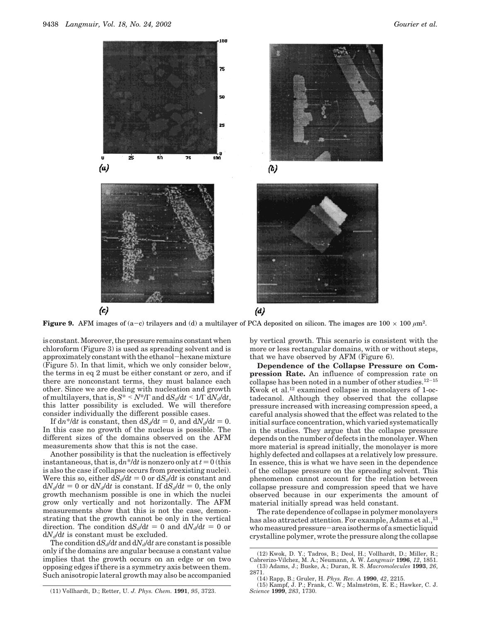

(b)



**Figure 9.** AFM images of (a-c) trilayers and (d) a multilayer of PCA deposited on silicon. The images are  $100 \times 100 \mu m^2$ .

is constant. Moreover, the pressure remains constant when chloroform (Figure 3) is used as spreading solvent and is approximately constant with the ethanol-hexane mixture (Figure 5). In that limit, which we only consider below, the terms in eq 2 must be either constant or zero, and if there are nonconstant terms, they must balance each other. Since we are dealing with nucleation and growth of multilayers, that is, *<sup>S</sup>*\* < *<sup>N</sup>*\*/<sup>Γ</sup> and d*Sd*/d*<sup>t</sup>* <sup>&</sup>lt; 1/<sup>Γ</sup> <sup>d</sup>*Nd*/d*t*, this latter possibility is excluded. We will therefore consider individually the different possible cases.

If  $dn^* / dt$  is constant, then  $dS_d/dt = 0$ , and  $dN_d/dt = 0$ . In this case no growth of the nucleus is possible. The different sizes of the domains observed on the AFM measurements show that this is not the case.

Another possibility is that the nucleation is effectively instantaneous, that is,  $dn^* / dt$  is nonzero only at  $t = 0$  (this is also the case if collapse occurs from preexisting nuclei). Were this so, either  $dS_d/dt = 0$  or  $dS_d/dt$  is constant and  $dN_d/dt = 0$  or  $dN_d/dt$  is constant. If  $dS_d/dt = 0$ , the only growth mechanism possible is one in which the nuclei grow only vertically and not horizontally. The AFM measurements show that this is not the case, demonstrating that the growth cannot be only in the vertical direction. The condition  $dS_d/dt = 0$  and  $dN_d/dt = 0$  or  $dN_d/dt$  is constant must be excluded.

The condition  $dS_d/dt$  and  $dN_d/dt$  are constant is possible only if the domains are angular because a constant value implies that the growth occurs on an edge or on two opposing edges if there is a symmetry axis between them. Such anisotropic lateral growth may also be accompanied by vertical growth. This scenario is consistent with the more or less rectangular domains, with or without steps, that we have observed by AFM (Figure 6).

**Dependence of the Collapse Pressure on Compression Rate.** An influence of compression rate on collapse has been noted in a number of other studies.<sup>12-15</sup> Kwok et al.12 examined collapse in monolayers of 1-octadecanol. Although they observed that the collapse pressure increased with increasing compression speed, a careful analysis showed that the effect was related to the initial surface concentration, which varied systematically in the studies. They argue that the collapse pressure depends on the number of defects in the monolayer. When more material is spread initially, the monolayer is more highly defected and collapses at a relatively low pressure. In essence, this is what we have seen in the dependence of the collapse pressure on the spreading solvent. This phenomenon cannot account for the relation between collapse pressure and compression speed that we have observed because in our experiments the amount of material initially spread was held constant.

The rate dependence of collapse in polymer monolayers has also attracted attention. For example, Adams et al.,<sup>13</sup> who measured pressure-area isotherms of a smectic liquid crystalline polymer, wrote the pressure along the collapse

<sup>(12)</sup> Kwok, D. Y.; Tadros, B.; Deol, H.; Vollhardt, D.; Miller, R.; Cabrerizo-Vı´lchez, M. A.; Neumann, A. W. *Langmuir* **1996**, *12*, 1851. (13) Adams, J.; Buske, A.; Duran, R. S. *Macromolecules* **1993**, *26*,

<sup>2871.</sup> (14) Rapp, B.; Gruler, H. *Phys. Rev. A* **1990**, *42*, 2215.

<sup>(15)</sup> Kampf, J. P.; Frank, C. W.; Malmstro¨m, E. E.; Hawker, C. J. *Science* **1999**, *283*, 1730.

<sup>(11)</sup> Vollhardt, D.; Retter, U. *J. Phys. Chem.* **1991**, *95*, 3723.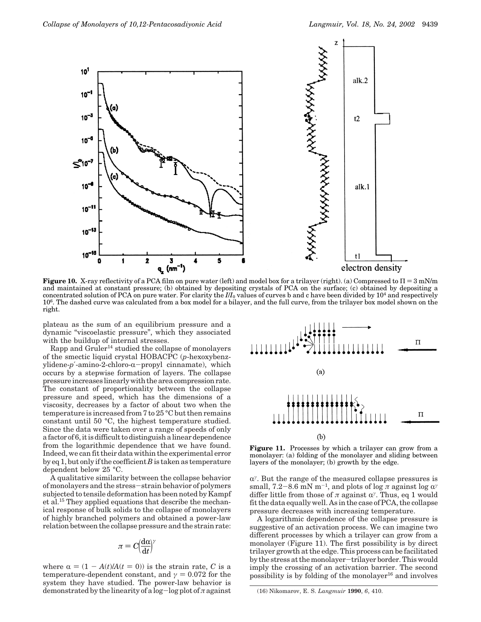

**Figure 10.** X-ray reflectivity of a PCA film on pure water (left) and model box for a trilayer (right). (a) Compressed to  $\Pi = 3$  mN/m and maintained at constant pressure; (b) obtained by depositing crystals of PCA on the surface; (c) obtained by depositing a concentrated solution of PCA on pure water. For clarity the *I*/*I*<sup>0</sup> values of curves b and c have been divided by 104 and respectively 106. The dashed curve was calculated from a box model for a bilayer, and the full curve, from the trilayer box model shown on the right.

plateau as the sum of an equilibrium pressure and a dynamic "viscoelastic pressure", which they associated with the buildup of internal stresses.

Rapp and Gruler14 studied the collapse of monolayers of the smectic liquid crystal HOBACPC (*p*-hexoxybenzylidene- $p'$ -amino-2-chloro- $\alpha$ -propyl cinnamate), which occurs by a stepwise formation of layers. The collapse pressure increases linearly with the area compression rate. The constant of proportionality between the collapse pressure and speed, which has the dimensions of a viscosity, decreases by a factor of about two when the temperature is increased from 7 to 25 °C but then remains constant until 50 °C, the highest temperature studied. Since the data were taken over a range of speeds of only a factor of 6, it is difficult to distinguish a linear dependence from the logarithmic dependence that we have found. Indeed, we can fit their data within the experimental error by eq 1, but only if the coefficient *B* is taken as temperature dependent below 25 °C.

A qualitative similarity between the collapse behavior of monolayers and the stress-strain behavior of polymers subjected to tensile deformation has been noted by Kampf et al.15 They applied equations that describe the mechanical response of bulk solids to the collapse of monolayers of highly branched polymers and obtained a power-law relation between the collapse pressure and the strain rate:

$$
\pi = C \left(\frac{\mathrm{d}\alpha}{\mathrm{d}t}\right)^{\gamma}
$$

where  $\alpha = (1 - A(t)/A(t = 0))$  is the strain rate, *C* is a temperature-dependent constant, and  $\gamma = 0.072$  for the system they have studied. The power-law behavior is demonstrated by the linearity of a log-log plot of *<sup>π</sup>* against



Figure 11. Processes by which a trilayer can grow from a monolayer: (a) folding of the monolayer and sliding between layers of the monolayer; (b) growth by the edge.

<sup>R</sup>*<sup>γ</sup>*. But the range of the measured collapse pressures is small, 7.2-8.6 mN m<sup>-1</sup>, and plots of log  $\pi$  against log  $\alpha^{\gamma}$ differ little from those of  $\pi$  against  $\alpha^{\gamma}$ . Thus, eq 1 would fit the data equally well. As in the case of PCA, the collapse pressure decreases with increasing temperature.

A logarithmic dependence of the collapse pressure is suggestive of an activation process. We can imagine two different processes by which a trilayer can grow from a monolayer (Figure 11). The first possibility is by direct trilayer growth at the edge. This process can be facilitated by the stress at the monolayer-trilayer border. This would imply the crossing of an activation barrier. The second possibility is by folding of the monolayer $16$  and involves

<sup>(16)</sup> Nikomarov, E. S. *Langmuir* **1990**, *6*, 410.